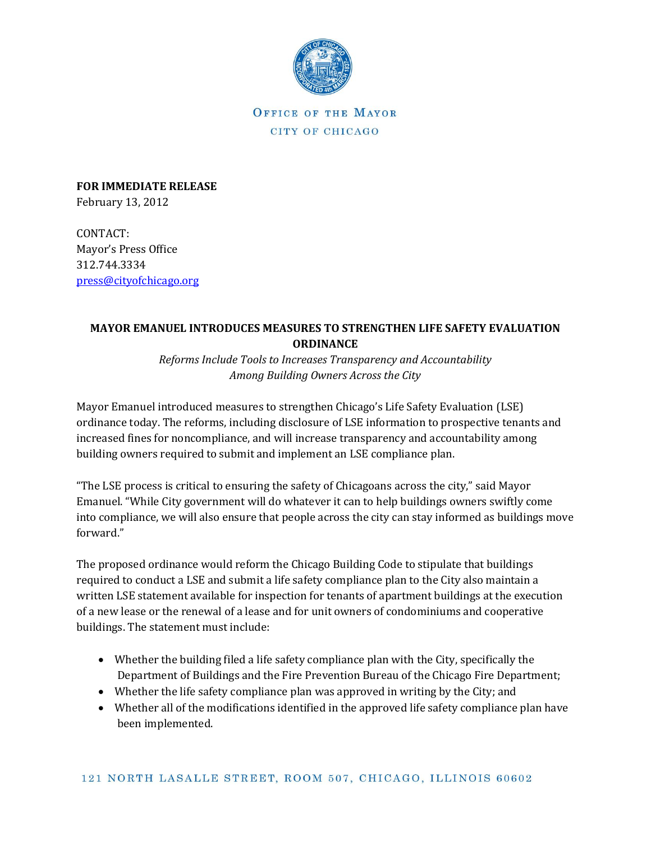

OFFICE OF THE MAYOR CITY OF CHICAGO

**FOR IMMEDIATE RELEASE** February 13, 2012

CONTACT: Mayor's Press Office 312.744.3334 [press@cityofchicago.org](mailto:press@cityofchicago.org)

## **MAYOR EMANUEL INTRODUCES MEASURES TO STRENGTHEN LIFE SAFETY EVALUATION ORDINANCE**

*Reforms Include Tools to Increases Transparency and Accountability Among Building Owners Across the City*

Mayor Emanuel introduced measures to strengthen Chicago's Life Safety Evaluation (LSE) ordinance today. The reforms, including disclosure of LSE information to prospective tenants and increased fines for noncompliance, and will increase transparency and accountability among building owners required to submit and implement an LSE compliance plan.

"The LSE process is critical to ensuring the safety of Chicagoans across the city," said Mayor Emanuel. "While City government will do whatever it can to help buildings owners swiftly come into compliance, we will also ensure that people across the city can stay informed as buildings move forward."

The proposed ordinance would reform the Chicago Building Code to stipulate that buildings required to conduct a LSE and submit a life safety compliance plan to the City also maintain a written LSE statement available for inspection for tenants of apartment buildings at the execution of a new lease or the renewal of a lease and for unit owners of condominiums and cooperative buildings. The statement must include:

- Whether the building filed a life safety compliance plan with the City, specifically the Department of Buildings and the Fire Prevention Bureau of the Chicago Fire Department;
- Whether the life safety compliance plan was approved in writing by the City; and
- Whether all of the modifications identified in the approved life safety compliance plan have been implemented.